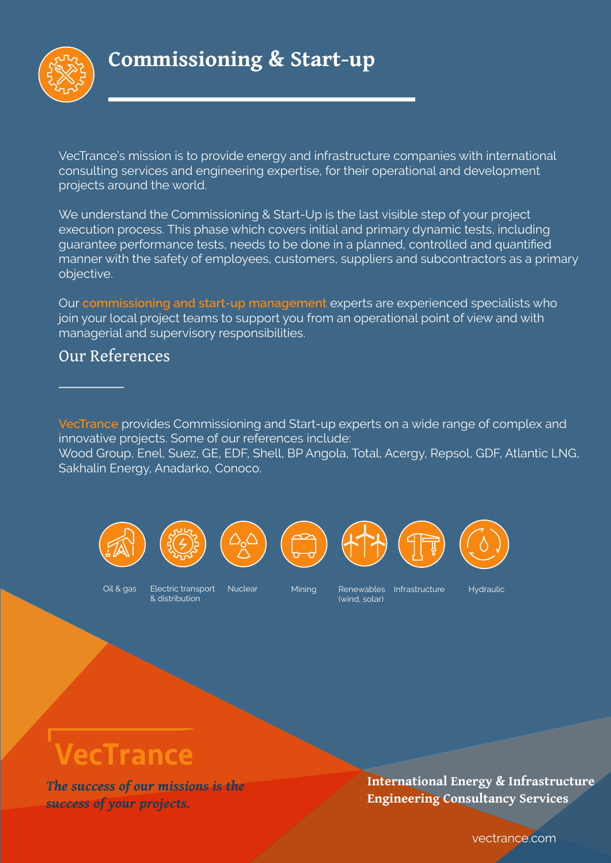

VecTrance's mission is to provide energy and infrastructure companies with international consulting services and engineering expertise, for their operational and development projects around the world.

We understand the Commissioning & Start-Up is the last visible step of your project execution process. This phase which covers initial and primary dynamic tests, including quarantee performance tests, needs to be done in a planned, controlled and quantified manner with the safety of employees, customers, suppliers and subcontractors as a primary objective.

Our commissioning and start-up management experts are experienced specialists who join your local project teams to support you from an operational point of view and with managerial and supervisory responsibilities.

### Our References

VecTrance provides Commissioning and Start-up experts on a wide range of complex and innovative projects. Some of our references include: Wood Group, Enel, Suez, GE, EDF, Shell, BP Angola, Total, Acergy, Repsol, GDF, Atlantic LNG, Sakhalin Energy, Anadarko, Conoco.





Oil & gas

Electric transport & distribution

#### Nuclear

Mining

Renewables Infrastructure (wind solar)

Hydraulic

# VecTrance

The success of our missions is the success of your projects.

International Energy & Infrastructure **Engineering Consultancy Services** 

vectrance.com